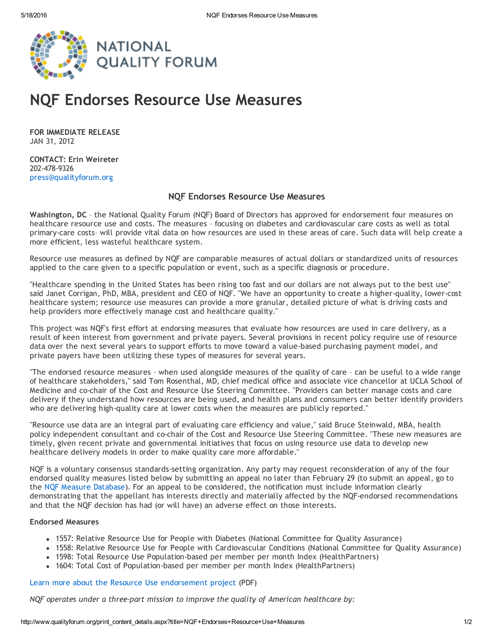

## NQF Endorses Resource Use Measures

FOR IMMEDIATE RELEASE JAN 31, 2012

CONTACT: Erin Weireter 202‐478‐9326 [press@qualityforum.org](mailto:press@qualityforum.org)

## NQF Endorses Resource Use Measures

Washington, DC – the National Quality Forum (NQF) Board of Directors has approved for endorsement four measures on healthcare resource use and costs. The measures – focusing on diabetes and cardiovascular care costs as well as total primary-care costs- will provide vital data on how resources are used in these areas of care. Such data will help create a more efficient, less wasteful healthcare system.

Resource use measures as defined by NQF are comparable measures of actual dollars or standardized units of resources applied to the care given to a specific population or event, such as a specific diagnosis or procedure.

"Healthcare spending in the United States has been rising too fast and our dollars are not always put to the best use" said Janet Corrigan, PhD, MBA, president and CEO of NQF. "We have an opportunity to create a higher‐quality, lower‐cost healthcare system; resource use measures can provide a more granular, detailed picture of what is driving costs and help providers more effectively manage cost and healthcare quality."

This project was NQF's first effort at endorsing measures that evaluate how resources are used in care delivery, as a result of keen interest from government and private payers. Several provisions in recent policy require use of resource data over the next several years to support efforts to move toward a value‐based purchasing payment model, and private payers have been utilizing these types of measures for several years.

"The endorsed resource measures – when used alongside measures of the quality of care – can be useful to a wide range of healthcare stakeholders," said Tom Rosenthal, MD, chief medical office and associate vice chancellor at UCLA School of Medicine and co-chair of the Cost and Resource Use Steering Committee. "Providers can better manage costs and care delivery if they understand how resources are being used, and health plans and consumers can better identify providers who are delivering high-quality care at lower costs when the measures are publicly reported."

"Resource use data are an integral part of evaluating care efficiency and value," said Bruce Steinwald, MBA, health policy independent consultant and co-chair of the Cost and Resource Use Steering Committee. "These new measures are timely, given recent private and governmental initiatives that focus on using resource use data to develop new healthcare delivery models in order to make quality care more affordable."

NQF is a voluntary consensus standards‐setting organization. Any party may request reconsideration of any of the four endorsed quality measures listed below by submitting an appeal no later than February 29 (to submit an appeal, go to the NQF Measure [Database\)](http://www.qualityforum.org/Measures_List.aspx). For an appeal to be considered, the notification must include information clearly demonstrating that the appellant has interests directly and materially affected by the NQF‐endorsed recommendations and that the NQF decision has had (or will have) an adverse effect on those interests.

## Endorsed Measures

- 1557: Relative Resource Use for People with Diabetes (National Committee for Quality Assurance)
- 1558: Relative Resource Use for People with Cardiovascular Conditions (National Committee for Quality Assurance)
- 1598: Total Resource Use Population-based per member per month Index (HealthPartners)
- 1604: Total Cost of Population-based per member per month Index (HealthPartners)

Learn more about the Resource Use [endorsement](http://www.qualityforum.org/WorkArea/linkit.aspx?LinkIdentifier=id&ItemID=69883) project (PDF)

*NQF operates under a three‐part mission to improve the quality of American healthcare by:*